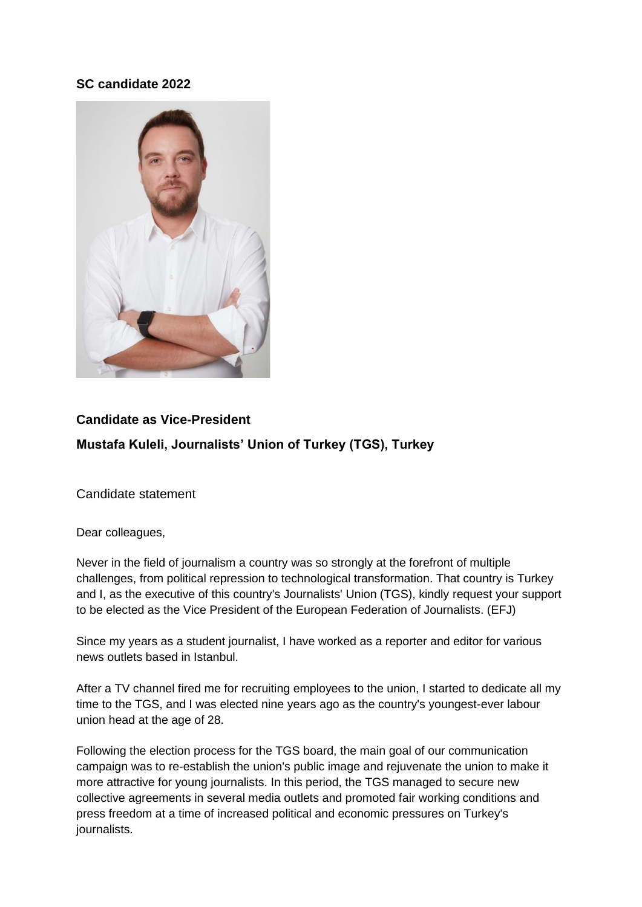## **SC candidate 2022**



# **Candidate as Vice-President Mustafa Kuleli, Journalists' Union of Turkey (TGS), Turkey**

Candidate statement

Dear colleagues,

Never in the field of journalism a country was so strongly at the forefront of multiple challenges, from political repression to technological transformation. That country is Turkey and I, as the executive of this country's Journalists' Union (TGS), kindly request your support to be elected as the Vice President of the European Federation of Journalists. (EFJ)

Since my years as a student journalist, I have worked as a reporter and editor for various news outlets based in Istanbul.

After a TV channel fired me for recruiting employees to the union, I started to dedicate all my time to the TGS, and I was elected nine years ago as the country's youngest-ever labour union head at the age of 28.

Following the election process for the TGS board, the main goal of our communication campaign was to re-establish the union's public image and rejuvenate the union to make it more attractive for young journalists. In this period, the TGS managed to secure new collective agreements in several media outlets and promoted fair working conditions and press freedom at a time of increased political and economic pressures on Turkey's journalists.